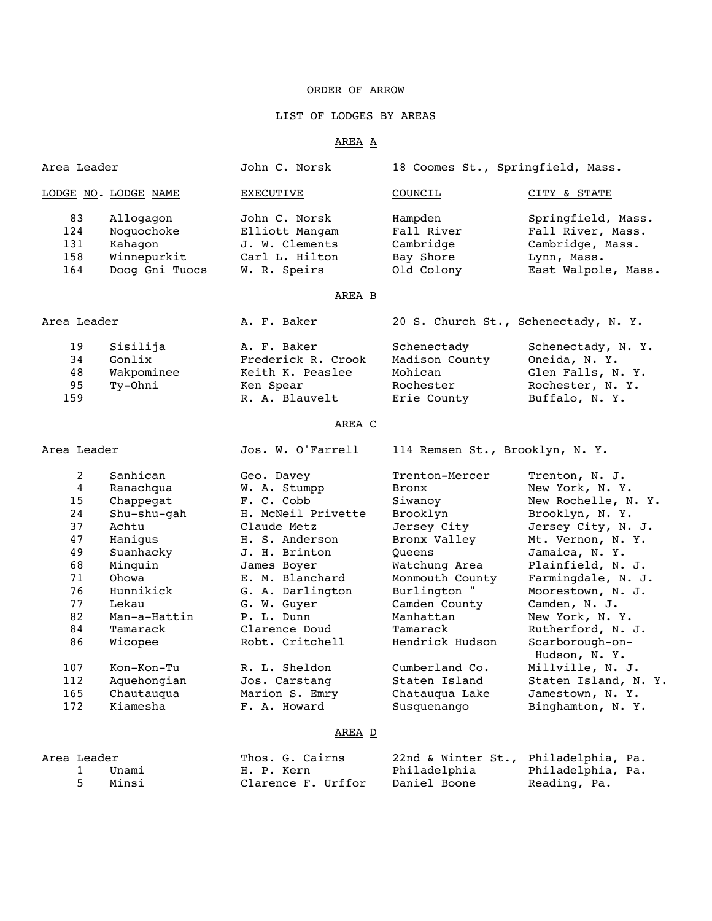### ORDER OF ARROW

## LIST OF LODGES BY AREAS

### AREA A

| Area Leader                                                                                 |                                                                                                                                                                     | John C. Norsk                                                                                                                                                                                                                           | 18 Coomes St., Springfield, Mass.                                                                                                                                                                        |                                                                                                                                                                                                                                                                                                       |
|---------------------------------------------------------------------------------------------|---------------------------------------------------------------------------------------------------------------------------------------------------------------------|-----------------------------------------------------------------------------------------------------------------------------------------------------------------------------------------------------------------------------------------|----------------------------------------------------------------------------------------------------------------------------------------------------------------------------------------------------------|-------------------------------------------------------------------------------------------------------------------------------------------------------------------------------------------------------------------------------------------------------------------------------------------------------|
|                                                                                             | <u>LODGE NO. LODGE NAME</u>                                                                                                                                         | <b>EXECUTIVE</b>                                                                                                                                                                                                                        | COUNCIL                                                                                                                                                                                                  | CITY & STATE                                                                                                                                                                                                                                                                                          |
| 83<br>124<br>131<br>158<br>164                                                              | Allogagon<br>Noquochoke<br>Kahagon<br>Winnepurkit<br>Doog Gni Tuocs                                                                                                 | John C. Norsk<br>Elliott Mangam<br>J. W. Clements<br>Carl L. Hilton<br>W. R. Speirs                                                                                                                                                     | Hampden<br>Fall River<br>Cambridge<br>Bay Shore<br>Old Colony                                                                                                                                            | Springfield, Mass.<br>Fall River, Mass.<br>Cambridge, Mass.<br>Lynn, Mass.<br>East Walpole, Mass.                                                                                                                                                                                                     |
|                                                                                             |                                                                                                                                                                     | AREA <sub>B</sub>                                                                                                                                                                                                                       |                                                                                                                                                                                                          |                                                                                                                                                                                                                                                                                                       |
| Area Leader                                                                                 |                                                                                                                                                                     | A. F. Baker                                                                                                                                                                                                                             | 20 S. Church St., Schenectady, N. Y.                                                                                                                                                                     |                                                                                                                                                                                                                                                                                                       |
| 19<br>34<br>48<br>95<br>159                                                                 | Sisilija<br>Gonlix<br>Wakpominee<br>Ty-Ohni                                                                                                                         | A. F. Baker<br>Frederick R. Crook<br>Keith K. Peaslee<br>Ken Spear<br>R. A. Blauvelt                                                                                                                                                    | Schenectady<br>Madison County<br>Mohican<br>Rochester<br>Erie County                                                                                                                                     | Schenectady, N. Y.<br>Oneida, N. Y.<br>Glen Falls, N. Y.<br>Rochester, N. Y.<br>Buffalo, N. Y.                                                                                                                                                                                                        |
|                                                                                             |                                                                                                                                                                     | AREA C                                                                                                                                                                                                                                  |                                                                                                                                                                                                          |                                                                                                                                                                                                                                                                                                       |
| Area Leader                                                                                 |                                                                                                                                                                     | Jos. W. O'Farrell                                                                                                                                                                                                                       | 114 Remsen St., Brooklyn, N. Y.                                                                                                                                                                          |                                                                                                                                                                                                                                                                                                       |
| 2<br>$\overline{4}$<br>15<br>24<br>37<br>47<br>49<br>68<br>71<br>76<br>77<br>82<br>84<br>86 | Sanhican<br>Ranachqua<br>Chappegat<br>Shu-shu-gah<br>Achtu<br>Hanigus<br>Suanhacky<br>Minquin<br>Ohowa<br>Hunnikick<br>Lekau<br>Man-a-Hattin<br>Tamarack<br>Wicopee | Geo. Davey<br>W. A. Stumpp<br>F. C. Cobb<br>H. McNeil Privette<br>Claude Metz<br>H. S. Anderson<br>J. H. Brinton<br>James Boyer<br>E. M. Blanchard<br>G. A. Darlington<br>G. W. Guyer<br>P. L. Dunn<br>Clarence Doud<br>Robt. Critchell | Trenton-Mercer<br>Bronx<br>Siwanoy<br>Brooklyn<br>Jersey City<br>Bronx Valley<br>Oueens<br>Watchung Area<br>Monmouth County<br>Burlington "<br>Camden County<br>Manhattan<br>Tamarack<br>Hendrick Hudson | Trenton, N. J.<br>New York, N. Y.<br>New Rochelle, N. Y.<br>Brooklyn, N. Y.<br>Jersey City, N. J.<br>Mt. Vernon, N. Y.<br>Jamaica, N. Y.<br>Plainfield, N. J.<br>Farmingdale, N. J.<br>Moorestown, N. J.<br>Camden, N. J.<br>New York, N. Y.<br>Rutherford, N. J.<br>Scarborough-on-<br>Hudson, N. Y. |
|                                                                                             |                                                                                                                                                                     |                                                                                                                                                                                                                                         |                                                                                                                                                                                                          |                                                                                                                                                                                                                                                                                                       |
| 107<br>112<br>165<br>172                                                                    | Kon-Kon-Tu<br>Aquehongian<br>Chautauqua<br>Kiamesha                                                                                                                 | R. L. Sheldon<br>Jos. Carstang<br>Marion S. Emry<br>F. A. Howard                                                                                                                                                                        | Cumberland Co.<br>Staten Island<br>Chatauqua Lake<br>Susquenango                                                                                                                                         | Millville, N. J.<br>Staten Island, N. Y.<br>Jamestown, N. Y.<br>Binghamton, N. Y.                                                                                                                                                                                                                     |

### AREA D

| Area Leader |         |       | Thos. G. Cairns    | 22nd & Winter St., Philadelphia, Pa. |                   |
|-------------|---------|-------|--------------------|--------------------------------------|-------------------|
|             | $\perp$ | Unami | H. P. Kern         | Philadelphia                         | Philadelphia, Pa. |
|             |         | Minsi | Clarence F. Urffor | Daniel Boone                         | Reading, Pa.      |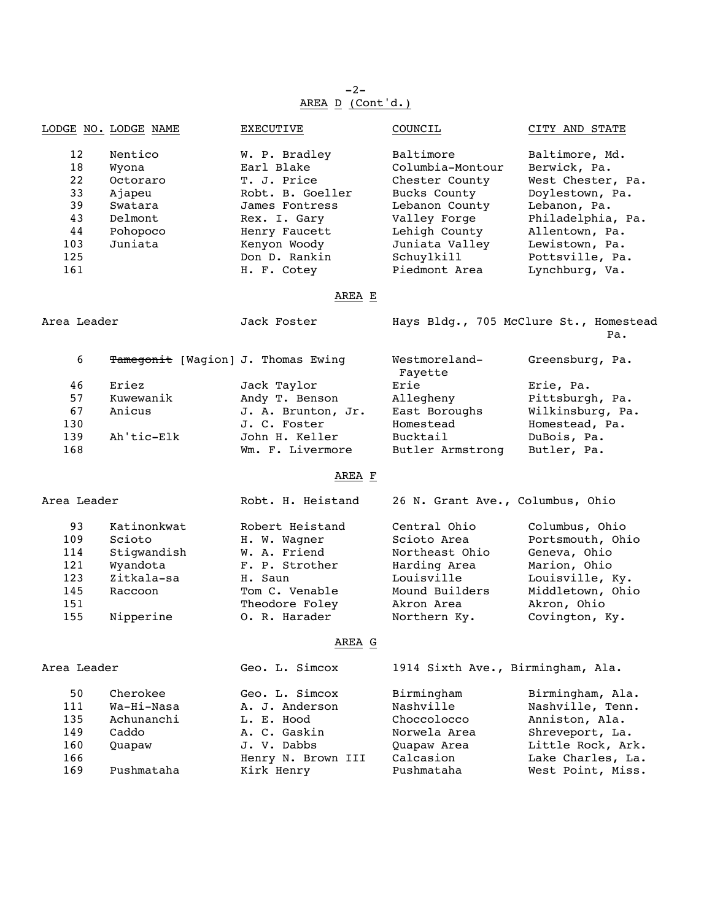-2- AREA D (Cont'd.)

|             | LODGE NO. LODGE NAME | <b>EXECUTIVE</b>                   | COUNCIL                  | CITY AND STATE                                |
|-------------|----------------------|------------------------------------|--------------------------|-----------------------------------------------|
| 12          | Nentico              | W. P. Bradley                      | Baltimore                | Baltimore, Md.                                |
| 18          | Wyona                | Earl Blake                         | Columbia-Montour         | Berwick, Pa.                                  |
| 22          | Octoraro             | T. J. Price                        | Chester County           | West Chester, Pa.                             |
| 33          | Ajapeu               | Robt. B. Goeller                   | Bucks County             | Doylestown, Pa.                               |
| 39          | Swatara              | James Fontress                     | Lebanon County           | Lebanon, Pa.                                  |
| 43          | Delmont              | Rex. I. Gary                       | Valley Forge             | Philadelphia, Pa.                             |
| 44          | Pohopoco             | Henry Faucett                      | Lehigh County            | Allentown, Pa.                                |
| 103         | Juniata              | Kenyon Woody                       | Juniata Valley           | Lewistown, Pa.                                |
| 125         |                      | Don D. Rankin                      | Schuylkill               | Pottsville, Pa.                               |
| 161         |                      | H. F. Cotey                        | Piedmont Area            | Lynchburg, Va.                                |
|             |                      | AREA E                             |                          |                                               |
| Area Leader |                      | Jack Foster                        |                          | Hays Bldg., 705 McClure St., Homestead<br>Pa. |
| 6           |                      | Tamegonit [Wagion] J. Thomas Ewing | Westmoreland-<br>Fayette | Greensburg, Pa.                               |

|     |            |                    | rayette          |                  |
|-----|------------|--------------------|------------------|------------------|
| 46  | Eriez      | Jack Taylor        | Erie             | Erie, Pa.        |
| 57  | Kuwewanik  | Andy T. Benson     | Allegheny        | Pittsburgh, Pa.  |
| 67  | Anicus     | J. A. Brunton, Jr. | East Boroughs    | Wilkinsburg, Pa. |
| 130 |            | J. C. Foster       | Homestead        | Homestead, Pa.   |
| 139 | Ah'tic-Elk | John H. Keller     | Bucktail         | DuBois, Pa.      |
| 168 |            | Wm. F. Livermore   | Butler Armstrong | Butler, Pa.      |
|     |            |                    |                  |                  |

# AREA F

| Area Leader |             | Robt. H. Heistand | 26 N. Grant Ave., Columbus, Ohio |                  |
|-------------|-------------|-------------------|----------------------------------|------------------|
| 93          | Katinonkwat | Robert Heistand   | Central Ohio                     | Columbus, Ohio   |
| 109         | Scioto      | H. W. Wagner      | Scioto Area                      | Portsmouth, Ohio |
| 114         | Stiqwandish | W. A. Friend      | Northeast Ohio                   | Geneva, Ohio     |
| 121         | Wyandota    | F. P. Strother    | Harding Area                     | Marion, Ohio     |
| 123         | Zitkala-sa  | H. Saun           | Louisville                       | Louisville, Ky.  |
| 145         | Raccoon     | Tom C. Venable    | Mound Builders                   | Middletown, Ohio |
| 151         |             | Theodore Foley    | Akron Area                       | Akron, Ohio      |
| 155         | Nipperine   | O. R. Harader     | Northern Ky.                     | Covington, Ky.   |

# AREA G

| Area Leader |            | Geo. L. Simcox     |              | 1914 Sixth Ave., Birmingham, Ala. |
|-------------|------------|--------------------|--------------|-----------------------------------|
| 50          | Cherokee   | Geo. L. Simcox     | Birmingham   | Birmingham, Ala.                  |
| 111         | Wa-Hi-Nasa | A. J. Anderson     | Nashville    | Nashville, Tenn.                  |
| 135         | Achunanchi | L. E. Hood         | Choccolocco  | Anniston, Ala.                    |
| 149         | Caddo      | A. C. Gaskin       | Norwela Area | Shreveport, La.                   |
| 160         | Ouapaw     | J. V. Dabbs        | Ouapaw Area  | Little Rock, Ark.                 |
| 166         |            | Henry N. Brown III | Calcasion    | Lake Charles, La.                 |
| 169         | Pushmataha | Kirk Henry         | Pushmataha   | West Point, Miss.                 |
|             |            |                    |              |                                   |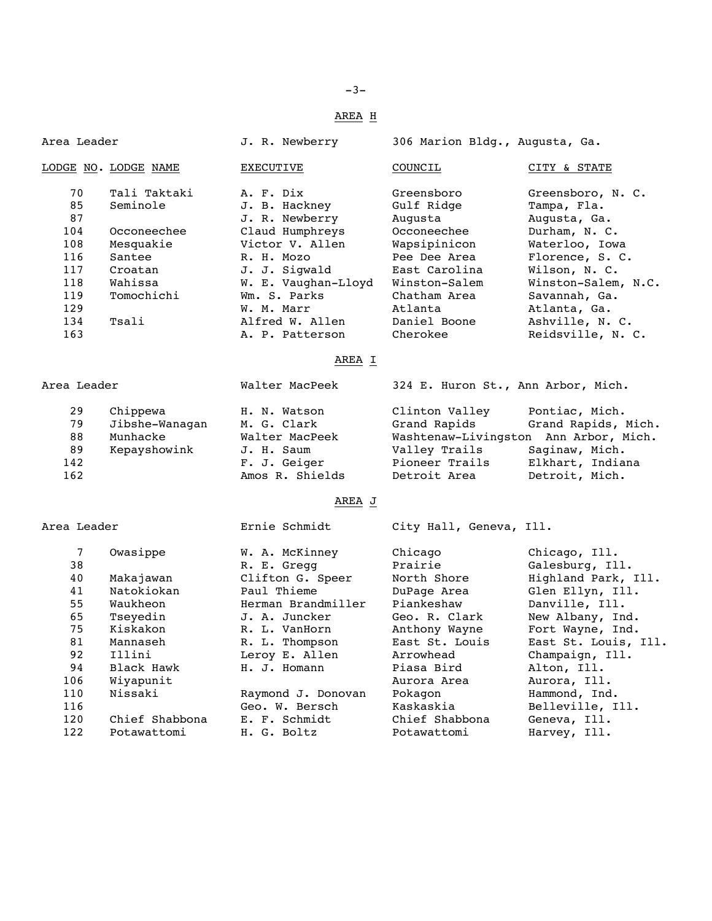## AREA H

| Area Leader          |                      | J. R. Newberry                                                    | 306 Marion Bldg., Augusta, Ga.    |                     |
|----------------------|----------------------|-------------------------------------------------------------------|-----------------------------------|---------------------|
|                      | LODGE NO. LODGE NAME | <b>EXECUTIVE</b>                                                  | COUNCIL                           | CITY & STATE        |
| 70                   | Tali Taktaki         | A. F. Dix                                                         | Greensboro                        | Greensboro, N. C.   |
| 85                   | Seminole             | J. B. Hackney                                                     | Gulf Ridge                        | Tampa, Fla.         |
| 87                   |                      | J. R. Newberry                                                    | Augusta                           | Augusta, Ga.        |
| 104                  | Occoneechee          | Claud Humphreys                                                   | Occoneechee                       | Durham, N. C.       |
| 108                  | Mesquakie            | Victor V. Allen                                                   | Wapsipinicon                      | Waterloo, Iowa      |
| 116                  | Santee               | R. H. MOZO                                                        | Pee Dee Area                      | Florence, S. C.     |
| 117                  | Croatan              | J. J. Sigwald                                                     | East Carolina                     | Wilson, N. C.       |
| 118                  | Wahissa              | W. E. Vaughan-Lloyd                                               | Winston-Salem                     | Winston-Salem, N.C. |
| 119                  | Tomochichi           | Wm. S. Parks                                                      | Chatham Area                      | Savannah, Ga.       |
| 129                  |                      | W. M. Marr                                                        | Atlanta                           | Atlanta, Ga.        |
| 134                  | Tsali                | Alfred W. Allen                                                   | Daniel Boone                      | Ashville, N. C.     |
| 163                  |                      | A. P. Patterson                                                   | Cherokee                          | Reidsville, N. C.   |
|                      |                      | AREA I                                                            |                                   |                     |
| $R_{max}$ $T_{cond}$ |                      | $M_2$ $\rightarrow$ $M_2$ $\rightarrow$ $D_2$ $\rightarrow$ $L_1$ | $224$ E Uurean C+ Ann Archae Migh |                     |

| Area Leader |                | Walter MacPeek  | 324 E. Huron St., Ann Arbor, Mich. |                                       |
|-------------|----------------|-----------------|------------------------------------|---------------------------------------|
| 29          | Chippewa       | H. N. Watson    | Clinton Valley                     | Pontiac, Mich.                        |
| 79          | Jibshe-Wanaqan | M. G. Clark     | Grand Rapids                       | Grand Rapids, Mich.                   |
| 88          | Munhacke       | Walter MacPeek  |                                    | Washtenaw-Livingston Ann Arbor, Mich. |
| 89          | Kepayshowink   | J. H. Saum      | Valley Trails                      | Saginaw, Mich.                        |
| 142         |                | F. J. Geiger    | Pioneer Trails                     | Elkhart, Indiana                      |
| 162         |                | Amos R. Shields | Detroit Area                       | Detroit, Mich.                        |

## AREA J

Area Leader Ernie Schmidt City Hall, Geneva, Ill.

| 7<br>38 | Owasippe       | W. A. McKinney<br>R. E. Gregg | Chicago<br>Prairie | Chicago, Ill.<br>Galesburg, Ill. |
|---------|----------------|-------------------------------|--------------------|----------------------------------|
| 40      | Makajawan      | Clifton G. Speer              | North Shore        | Highland Park, Ill.              |
| 41      | Natokiokan     | Paul Thieme                   | DuPage Area        | Glen Ellyn, Ill.                 |
| 55      | Waukheon       | Herman Brandmiller            | Piankeshaw         | Danville, Ill.                   |
| 65      | Tseyedin       | J. A. Juncker                 | Geo. R. Clark      | New Albany, Ind.                 |
| 75      | Kiskakon       | R. L. VanHorn                 | Anthony Wayne      | Fort Wayne, Ind.                 |
| 81      | Mannaseh       | R. L. Thompson                | East St. Louis     | East St. Louis, Ill.             |
| 92      | Illini         | Leroy E. Allen                | Arrowhead          | Champaign, Ill.                  |
| 94      | Black Hawk     | H. J. Homann                  | Piasa Bird         | Alton, Ill.                      |
| 106     | Wiyapunit      |                               | Aurora Area        | Aurora, Ill.                     |
| 110     | Nissaki        | Raymond J. Donovan            | Pokagon            | Hammond, Ind.                    |
| 116     |                | Geo. W. Bersch                | Kaskaskia          | Belleville, Ill.                 |
| 120     | Chief Shabbona | E. F. Schmidt                 | Chief Shabbona     | Geneva, Ill.                     |
| 122     | Potawattomi    | H. G. Boltz                   | Potawattomi        | Harvey, Ill.                     |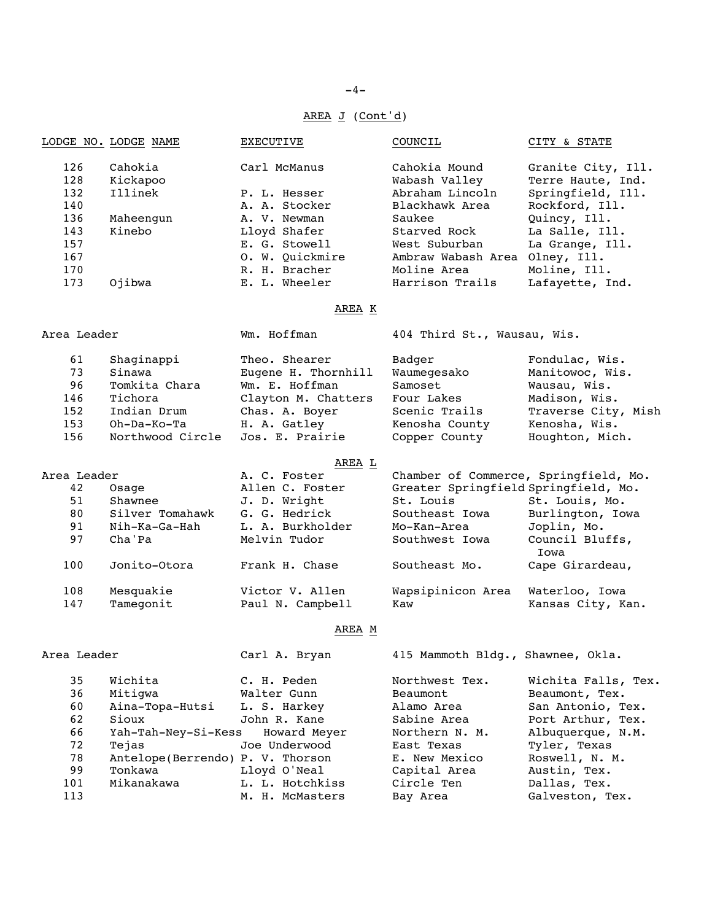# AREA J (Cont'd)

|                          | LODGE NO. LODGE NAME           | EXECUTIVE                                     | COUNCIL                                                             | CITY & STATE                                                                   |
|--------------------------|--------------------------------|-----------------------------------------------|---------------------------------------------------------------------|--------------------------------------------------------------------------------|
| 126<br>128<br>132<br>140 | Cahokia<br>Kickapoo<br>Illinek | Carl McManus<br>P. L. Hesser<br>A. A. Stocker | Cahokia Mound<br>Wabash Valley<br>Abraham Lincoln<br>Blackhawk Area | Granite City, Ill.<br>Terre Haute, Ind.<br>Springfield, Ill.<br>Rockford, Ill. |
| 136                      | Maheengun                      | A. V. Newman                                  | Saukee                                                              | Quincy, Ill.                                                                   |
| 143                      | Kinebo                         | Lloyd Shafer                                  | Starved Rock                                                        | La Salle, Ill.                                                                 |
| 157                      |                                | E. G. Stowell                                 | West Suburban                                                       | La Grange, Ill.                                                                |
| 167                      |                                | O. W. Quickmire                               | Ambraw Wabash Area Olney, Ill.                                      |                                                                                |
| 170                      |                                | R. H. Bracher                                 | Moline Area                                                         | Moline, Ill.                                                                   |
| 173                      | Ojibwa                         | E. L. Wheeler                                 | Harrison Trails                                                     | Lafayette, Ind.                                                                |
|                          |                                | AREA K                                        |                                                                     |                                                                                |
| Area Leader              |                                | Wm. Hoffman                                   | 404 Third St., Wausau, Wis.                                         |                                                                                |
| 61                       | Shaginappi                     | Theo. Shearer                                 | Badger                                                              | Fondulac, Wis.                                                                 |
| 73                       | Sinawa                         | Eugene H. Thornhill                           | Waumegesako                                                         | Manitowoc, Wis.                                                                |
| 96                       | Tomkita Chara                  | Wm. E. Hoffman                                | Samoset                                                             | Wausau, Wis.                                                                   |
| 146                      | Tichora                        | Clayton M. Chatters                           | Four Lakes                                                          | Madison, Wis.                                                                  |
| 152                      | Indian Drum                    | Chas. A. Boyer                                | Scenic Trails                                                       | Traverse City, Mish                                                            |
| 153                      | Oh-Da-Ko-Ta                    | H. A. Gatley                                  | Kenosha County                                                      | Kenosha, Wis.                                                                  |
| 156                      | Northwood Circle               | Jos. E. Prairie                               | Copper County                                                       | Houghton, Mich.                                                                |
|                          |                                | AREA L                                        |                                                                     |                                                                                |
| Area Leader              |                                | A. C. Foster                                  | Chamber of Commerce, Springfield, Mo.                               |                                                                                |
| 42                       | Osage                          | Allen C. Foster                               | Greater Springfield Springfield, Mo.                                |                                                                                |
| 51                       | Shawnee                        | J. D. Wright                                  | St. Louis                                                           | St. Louis, Mo.                                                                 |
| 80                       | Silver Tomahawk                | G. G. Hedrick                                 | Southeast Iowa                                                      | Burlington, Iowa                                                               |
| 91                       | Nih-Ka-Ga-Hah                  | L. A. Burkholder                              | Mo-Kan-Area                                                         | Joplin, Mo.                                                                    |
| 97                       | Cha'Pa                         | Melvin Tudor                                  | Southwest Iowa                                                      | Council Bluffs,<br>Iowa                                                        |
| 100                      | Jonito-Otora                   | Frank H. Chase                                | Southeast Mo.                                                       | Cape Girardeau,                                                                |
| 108                      | Mesquakie                      | Victor V. Allen                               | Wapsipinicon Area                                                   | Waterloo, Iowa                                                                 |
| 147                      | Tamegonit                      | Paul N. Campbell                              | Kaw                                                                 | Kansas City, Kan.                                                              |
|                          |                                | M ה <b>חס</b> ת                               |                                                                     |                                                                                |

### AREA M

| Area Leader |                                   | Carl A. Bryan   | 415 Mammoth Bldg., Shawnee, Okla. |                     |
|-------------|-----------------------------------|-----------------|-----------------------------------|---------------------|
| 35          | Wichita                           | C. H. Peden     | Northwest Tex.                    | Wichita Falls, Tex. |
| 36          | Mitiqwa                           | Walter Gunn     | Beaumont                          | Beaumont, Tex.      |
| 60          | Aina-Topa-Hutsi                   | L. S. Harkey    | Alamo Area                        | San Antonio, Tex.   |
| 62          | Sioux                             | John R. Kane    | Sabine Area                       | Port Arthur, Tex.   |
| 66          | Yah-Tah-Ney-Si-Kess Howard Meyer  |                 | Northern N. M.                    | Albuquerque, N.M.   |
| 72          | Tejas                             | Joe Underwood   | East Texas                        | Tyler, Texas        |
| 78          | Antelope (Berrendo) P. V. Thorson |                 | E. New Mexico                     | Roswell, N. M.      |
| 99          | Tonkawa                           | Lloyd O'Neal    | Capital Area                      | Austin, Tex.        |
| 101         | Mikanakawa                        | L. L. Hotchkiss | Circle Ten                        | Dallas, Tex.        |
| 113         |                                   | M. H. McMasters | Bay Area                          | Galveston, Tex.     |
|             |                                   |                 |                                   |                     |